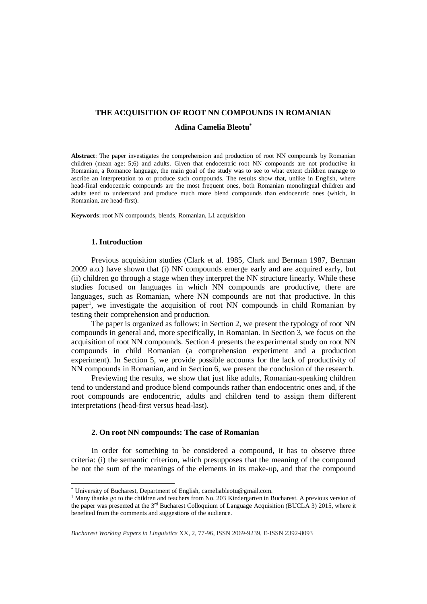#### **THE ACQUISITION OF ROOT NN COMPOUNDS IN ROMANIAN**

## **Adina Camelia Bleotu\***

**Abstract**: The paper investigates the comprehension and production of root NN compounds by Romanian children (mean age: 5;6) and adults. Given that endocentric root NN compounds are not productive in Romanian, a Romance language, the main goal of the study was to see to what extent children manage to ascribe an interpretation to or produce such compounds. The results show that, unlike in English, where head-final endocentric compounds are the most frequent ones, both Romanian monolingual children and adults tend to understand and produce much more blend compounds than endocentric ones (which, in Romanian, are head-first).

**Keywords**: root NN compounds, blends, Romanian, L1 acquisition

# **1. Introduction**

1

Previous acquisition studies (Clark et al. 1985, Clark and Berman 1987, Berman 2009 a.o.) have shown that (i) NN compounds emerge early and are acquired early, but (ii) children go through a stage when they interpret the NN structure linearly. While these studies focused on languages in which NN compounds are productive, there are languages, such as Romanian, where NN compounds are not that productive. In this paper<sup>1</sup>, we investigate the acquisition of root NN compounds in child Romanian by testing their comprehension and production.

The paper is organized as follows: in Section 2, we present the typology of root NN compounds in general and, more specifically, in Romanian. In Section 3, we focus on the acquisition of root NN compounds. Section 4 presents the experimental study on root NN compounds in child Romanian (a comprehension experiment and a production experiment). In Section 5, we provide possible accounts for the lack of productivity of NN compounds in Romanian, and in Section 6, we present the conclusion of the research.

Previewing the results, we show that just like adults, Romanian-speaking children tend to understand and produce blend compounds rather than endocentric ones and, if the root compounds are endocentric, adults and children tend to assign them different interpretations (head-first versus head-last).

#### **2. On root NN compounds: The case of Romanian**

In order for something to be considered a compound, it has to observe three criteria: (i) the semantic criterion, which presupposes that the meaning of the compound be not the sum of the meanings of the elements in its make-up, and that the compound

<sup>\*</sup> University of Bucharest, Department of English, cameliableotu@gmail.com.

<sup>&</sup>lt;sup>1</sup> Many thanks go to the children and teachers from No. 203 Kindergarten in Bucharest. A previous version of the paper was presented at the 3<sup>rd</sup> Bucharest Colloquium of Language Acquisition (BUCLA 3) 2015, where it benefited from the comments and suggestions of the audience.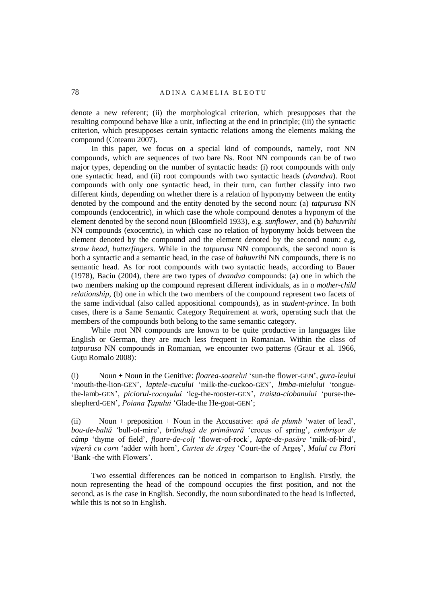denote a new referent; (ii) the morphological criterion, which presupposes that the resulting compound behave like a unit, inflecting at the end in principle; (iii) the syntactic criterion, which presupposes certain syntactic relations among the elements making the compound (Coteanu 2007).

In this paper, we focus on a special kind of compounds, namely, root NN compounds, which are sequences of two bare Ns. Root NN compounds can be of two major types, depending on the number of syntactic heads: (i) root compounds with only one syntactic head, and (ii) root compounds with two syntactic heads (*dvandva*). Root compounds with only one syntactic head, in their turn, can further classify into two different kinds, depending on whether there is a relation of hyponymy between the entity denoted by the compound and the entity denoted by the second noun: (a) *tatpurusa* NN compounds (endocentric), in which case the whole compound denotes a hyponym of the element denoted by the second noun (Bloomfield 1933), e.g. *sunflower*, and (b) *bahuvrihi* NN compounds (exocentric), in which case no relation of hyponymy holds between the element denoted by the compound and the element denoted by the second noun: e.g, *straw head*, *butterfingers*. While in the *tatpurusa* NN compounds, the second noun is both a syntactic and a semantic head, in the case of *bahuvrihi* NN compounds, there is no semantic head. As for root compounds with two syntactic heads, according to Bauer (1978), Baciu (2004), there are two types of *dvandva* compounds: (a) one in which the two members making up the compound represent different individuals, as in *a mother-child relationship*, (b) one in which the two members of the compound represent two facets of the same individual (also called appositional compounds), as in *student-prince*. In both cases, there is a Same Semantic Category Requirement at work, operating such that the members of the compounds both belong to the same semantic category.

While root NN compounds are known to be quite productive in languages like English or German, they are much less frequent in Romanian. Within the class of *tatpurusa* NN compounds in Romanian, we encounter two patterns (Graur et al. 1966, Guțu Romalo 2008):

(i) Noun + Noun in the Genitive: *floarea-soarelui* 'sun-the flower-GEN', *gura-leului*  'mouth-the-lion-GEN', *laptele-cucului* 'milk-the-cuckoo-GEN', *limba-mielului* 'tonguethe-lamb-GEN', *piciorul-cocoşului* 'leg-the-rooster-GEN', *traista-ciobanului* 'purse-theshepherd-GEN', *Poiana Ţapului* 'Glade-the He-goat-GEN';

(ii) Noun + preposition + Noun in the Accusative: *apă de plumb* 'water of lead', *bou-de-baltă* 'bull-of-mire', *brânduşă de primăvară* 'crocus of spring', *cimbrişor de câmp* 'thyme of field', *floare-de-colţ* 'flower-of-rock', *lapte-de-pasăre* 'milk-of-bird', *viperă cu corn* 'adder with horn', *Curtea de Argeş* 'Court-the of Argeş', *Malul cu Flori* 'Bank -the with Flowers'.

Two essential differences can be noticed in comparison to English. Firstly, the noun representing the head of the compound occupies the first position, and not the second, as is the case in English. Secondly, the noun subordinated to the head is inflected, while this is not so in English.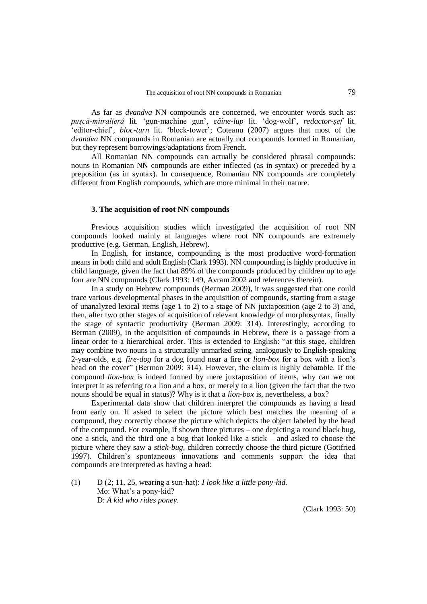As far as *dvandva* NN compounds are concerned, we encounter words such as: *puşcă-mitralieră* lit. 'gun-machine gun', *câine-lup* lit. 'dog-wolf', *redactor-şef* lit. 'editor-chief', *bloc-turn* lit. 'block-tower'; Coteanu (2007) argues that most of the *dvandva* NN compounds in Romanian are actually not compounds formed in Romanian, but they represent borrowings/adaptations from French.

All Romanian NN compounds can actually be considered phrasal compounds: nouns in Romanian NN compounds are either inflected (as in syntax) or preceded by a preposition (as in syntax). In consequence, Romanian NN compounds are completely different from English compounds, which are more minimal in their nature.

### **3. The acquisition of root NN compounds**

Previous acquisition studies which investigated the acquisition of root NN compounds looked mainly at languages where root NN compounds are extremely productive (e.g. German, English, Hebrew).

In English, for instance, compounding is the most productive word-formation means in both child and adult English (Clark 1993). NN compounding is highly productive in child language, given the fact that 89% of the compounds produced by children up to age four are NN compounds (Clark 1993: 149, Avram 2002 and references therein).

In a study on Hebrew compounds (Berman 2009), it was suggested that one could trace various developmental phases in the acquisition of compounds, starting from a stage of unanalyzed lexical items (age 1 to 2) to a stage of NN juxtaposition (age 2 to 3) and, then, after two other stages of acquisition of relevant knowledge of morphosyntax, finally the stage of syntactic productivity (Berman 2009: 314). Interestingly, according to Berman (2009), in the acquisition of compounds in Hebrew, there is a passage from a linear order to a hierarchical order. This is extended to English: "at this stage, children may combine two nouns in a structurally unmarked string, analogously to English-speaking 2-year-olds, e.g. *fire-dog* for a dog found near a fire or *lion-box* for a box with a lion's head on the cover" (Berman 2009: 314). However, the claim is highly debatable. If the compound *lion*-*box* is indeed formed by mere juxtaposition of items, why can we not interpret it as referring to a lion and a box, or merely to a lion (given the fact that the two nouns should be equal in status)? Why is it that a *lion-box* is, nevertheless, a box?

Experimental data show that children interpret the compounds as having a head from early on. If asked to select the picture which best matches the meaning of a compound, they correctly choose the picture which depicts the object labeled by the head of the compound. For example, if shown three pictures – one depicting a round black bug, one a stick, and the third one a bug that looked like a stick – and asked to choose the picture where they saw a *stick-bug*, children correctly choose the third picture (Gottfried 1997). Children's spontaneous innovations and comments support the idea that compounds are interpreted as having a head:

(1) D (2; 11, 25, wearing a sun-hat): *I look like a little pony-kid.* Mo: What's a pony-kid? D: *A kid who rides poney.*

(Clark 1993: 50)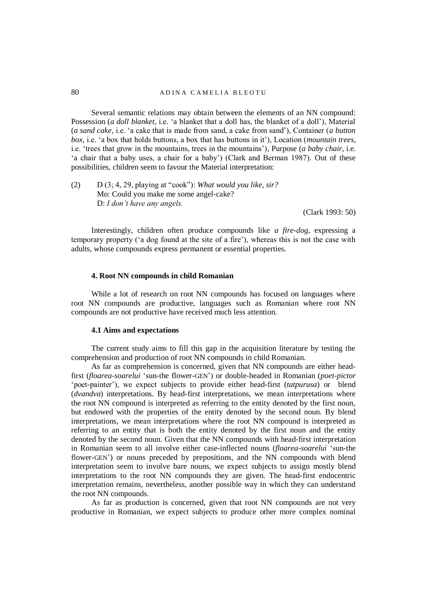## 80 A D IN A CAMELIA BLEOTU

Several semantic relations may obtain between the elements of an NN compound: Possession (*a doll blanket*, i.e. 'a blanket that a doll has, the blanket of a doll'), Material (*a sand cake,* i.e. 'a cake that is made from sand, a cake from sand'), Container (*a button box,* i.e. 'a box that holds buttons, a box that has buttons in it'), Location (*mountain trees*, i.e. 'trees that grow in the mountains, trees in the mountains'), Purpose (*a baby chair*, i.e. 'a chair that a baby uses, a chair for a baby') (Clark and Berman 1987). Out of these possibilities, children seem to favour the Material interpretation:

(2) D (3; 4, 29, playing at "cook"): *What would you like, sir?* Mo: Could you make me some angel-cake? D: *I don't have any angels.* 

(Clark 1993: 50)

Interestingly, children often produce compounds like *a fire-dog*, expressing a temporary property ('a dog found at the site of a fire'), whereas this is not the case with adults, whose compounds express permanent or essential properties.

#### **4. Root NN compounds in child Romanian**

While a lot of research on root NN compounds has focused on languages where root NN compounds are productive, languages such as Romanian where root NN compounds are not productive have received much less attention.

#### **4.1 Aims and expectations**

The current study aims to fill this gap in the acquisition literature by testing the comprehension and production of root NN compounds in child Romanian.

As far as comprehension is concerned, given that NN compounds are either headfirst (*floarea-soarelui* 'sun-the flower-GEN') or double-headed in Romanian (*poet-pictor* 'poet-painter'), we expect subjects to provide either head-first (*tatpurusa*) or blend (*dvandva*) interpretations. By head-first interpretations, we mean interpretations where the root NN compound is interpreted as referring to the entity denoted by the first noun, but endowed with the properties of the entity denoted by the second noun. By blend interpretations, we mean interpretations where the root NN compound is interpreted as referring to an entity that is both the entity denoted by the first noun and the entity denoted by the second noun. Given that the NN compounds with head-first interpretation in Romanian seem to all involve either case-inflected nouns (*floarea-soarelui* 'sun-the flower-GEN') or nouns preceded by prepositions, and the NN compounds with blend interpretation seem to involve bare nouns, we expect subjects to assign mostly blend interpretations to the root NN compounds they are given. The head-first endocentric interpretation remains, nevertheless, another possible way in which they can understand the root NN compounds.

As far as production is concerned, given that root NN compounds are not very productive in Romanian, we expect subjects to produce other more complex nominal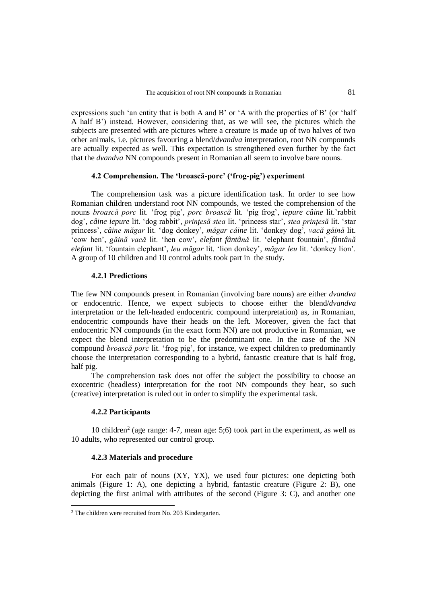expressions such 'an entity that is both A and B' or 'A with the properties of B' (or 'half A half B') instead. However, considering that, as we will see, the pictures which the subjects are presented with are pictures where a creature is made up of two halves of two other animals, i.e. pictures favouring a blend/*dvandva* interpretation, root NN compounds are actually expected as well. This expectation is strengthened even further by the fact that the *dvandva* NN compounds present in Romanian all seem to involve bare nouns.

# **4.2 Comprehension. The 'broască-porc' ('frog-pig') experiment**

The comprehension task was a picture identification task. In order to see how Romanian children understand root NN compounds, we tested the comprehension of the nouns *broască porc* lit. 'frog pig', *porc broască* lit. 'pig frog', *iepure câine* lit.'rabbit dog', *câine iepure* lit. 'dog rabbit', *prinţesă stea* lit. 'princess star', *stea prinţesă* lit. 'star princess', *câine măgar* lit. 'dog donkey', *măgar câine* lit. 'donkey dog'*, vacă găină* lit. 'cow hen', *găină vacă* lit. 'hen cow'*, elefant fântână* lit. 'elephant fountain'*, fântână elefant* lit. 'fountain elephant', *leu măgar* lit. 'lion donkey', *măgar leu* lit. 'donkey lion'. A group of 10 children and 10 control adults took part in the study.

#### **4.2.1 Predictions**

The few NN compounds present in Romanian (involving bare nouns) are either *dvandva* or endocentric. Hence, we expect subjects to choose either the blend/*dvandva* interpretation or the left-headed endocentric compound interpretation) as, in Romanian, endocentric compounds have their heads on the left. Moreover, given the fact that endocentric NN compounds (in the exact form NN) are not productive in Romanian, we expect the blend interpretation to be the predominant one. In the case of the NN compound *broască porc* lit. 'frog pig', for instance, we expect children to predominantly choose the interpretation corresponding to a hybrid, fantastic creature that is half frog, half pig.

The comprehension task does not offer the subject the possibility to choose an exocentric (headless) interpretation for the root NN compounds they hear, so such (creative) interpretation is ruled out in order to simplify the experimental task.

#### **4.2.2 Participants**

.

10 children<sup>2</sup> (age range: 4-7, mean age: 5;6) took part in the experiment, as well as 10 adults, who represented our control group.

#### **4.2.3 Materials and procedure**

For each pair of nouns (XY, YX), we used four pictures: one depicting both animals (Figure 1: A), one depicting a hybrid, fantastic creature (Figure 2: B), one depicting the first animal with attributes of the second (Figure 3: C), and another one

<sup>2</sup> The children were recruited from No. 203 Kindergarten.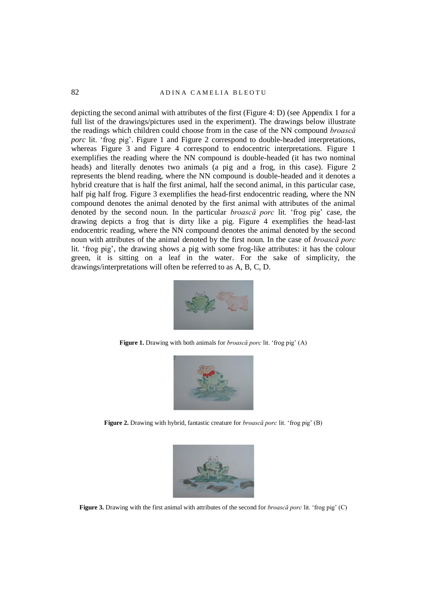depicting the second animal with attributes of the first (Figure 4: D) (see Appendix 1 for a full list of the drawings/pictures used in the experiment). The drawings below illustrate the readings which children could choose from in the case of the NN compound *broască porc* lit. 'frog pig'. Figure 1 and Figure 2 correspond to double-headed interpretations, whereas Figure 3 and Figure 4 correspond to endocentric interpretations. Figure 1 exemplifies the reading where the NN compound is double-headed (it has two nominal heads) and literally denotes two animals (a pig and a frog, in this case). Figure 2 represents the blend reading, where the NN compound is double-headed and it denotes a hybrid creature that is half the first animal, half the second animal, in this particular case, half pig half frog. Figure 3 exemplifies the head-first endocentric reading, where the NN compound denotes the animal denoted by the first animal with attributes of the animal denoted by the second noun. In the particular *broască porc* lit. 'frog pig' case, the drawing depicts a frog that is dirty like a pig. Figure 4 exemplifies the head-last endocentric reading, where the NN compound denotes the animal denoted by the second noun with attributes of the animal denoted by the first noun. In the case of *broască porc*  lit. 'frog pig', the drawing shows a pig with some frog-like attributes: it has the colour green, it is sitting on a leaf in the water. For the sake of simplicity, the drawings/interpretations will often be referred to as A, B, C, D.



**Figure 1.** Drawing with both animals for *broască porc* lit. 'frog pig' (A)



**Figure 2.** Drawing with hybrid, fantastic creature for *broască porc* lit. 'frog pig' (B)



**Figure 3.** Drawing with the first animal with attributes of the second for *broască porc* lit. 'frog pig' (C)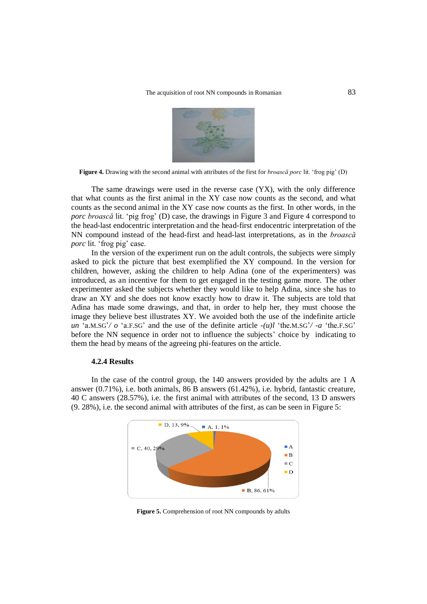

**Figure 4.** Drawing with the second animal with attributes of the first for *broască porc* lit. 'frog pig' (D)

The same drawings were used in the reverse case (YX), with the only difference that what counts as the first animal in the XY case now counts as the second, and what counts as the second animal in the XY case now counts as the first. In other words, in the *porc broască* lit. 'pig frog' (D) case, the drawings in Figure 3 and Figure 4 correspond to the head-last endocentric interpretation and the head-first endocentric interpretation of the NN compound instead of the head-first and head-last interpretations, as in the *broască porc* lit. 'frog pig' case.

In the version of the experiment run on the adult controls, the subjects were simply asked to pick the picture that best exemplified the XY compound. In the version for children, however, asking the children to help Adina (one of the experimenters) was introduced, as an incentive for them to get engaged in the testing game more. The other experimenter asked the subjects whether they would like to help Adina, since she has to draw an XY and she does not know exactly how to draw it. The subjects are told that Adina has made some drawings, and that, in order to help her, they must choose the image they believe best illustrates XY. We avoided both the use of the indefinite article *un* 'a.M.SG'*/ o* 'a.F.SG' and the use of the definite article *-(u)l* 'the.M.SG'*/ -a* 'the.F.SG' before the NN sequence in order not to influence the subjects' choice by indicating to them the head by means of the agreeing phi-features on the article.

#### **4.2.4 Results**

In the case of the control group, the 140 answers provided by the adults are 1 A answer (0.71%), i.e. both animals, 86 B answers (61.42%), i.e. hybrid, fantastic creature, 40 C answers (28.57%), i.e. the first animal with attributes of the second, 13 D answers (9. 28%), i.e. the second animal with attributes of the first, as can be seen in Figure 5:



**Figure 5.** Comprehension of root NN compounds by adults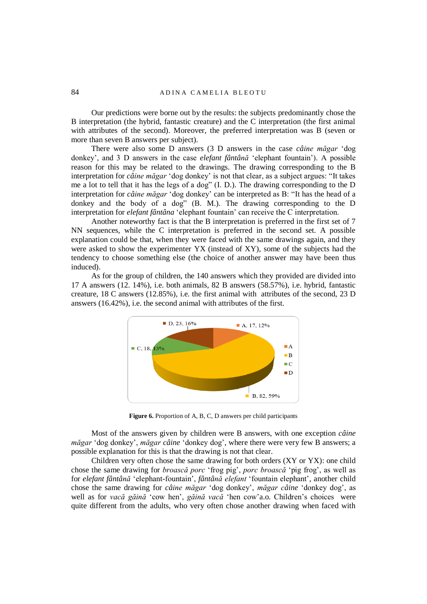Our predictions were borne out by the results: the subjects predominantly chose the B interpretation (the hybrid, fantastic creature) and the C interpretation (the first animal with attributes of the second). Moreover, the preferred interpretation was B (seven or more than seven B answers per subject).

There were also some D answers (3 D answers in the case *câine măgar* 'dog donkey', and 3 D answers in the case *elefant fântână* 'elephant fountain'). A possible reason for this may be related to the drawings. The drawing corresponding to the B interpretation for *câine măgar* 'dog donkey' is not that clear, as a subject argues: "It takes me a lot to tell that it has the legs of a dog" (I. D.). The drawing corresponding to the D interpretation for *câine măgar* 'dog donkey' can be interpreted as B: "It has the head of a donkey and the body of a dog" (B. M.). The drawing corresponding to the D interpretation for *elefant fântâna* 'elephant fountain' can receive the C interpretation.

Another noteworthy fact is that the B interpretation is preferred in the first set of 7 NN sequences, while the C interpretation is preferred in the second set. A possible explanation could be that, when they were faced with the same drawings again, and they were asked to show the experimenter YX (instead of XY), some of the subjects had the tendency to choose something else (the choice of another answer may have been thus induced).

As for the group of children, the 140 answers which they provided are divided into 17 A answers (12. 14%), i.e. both animals, 82 B answers (58.57%), i.e. hybrid, fantastic creature, 18 C answers (12.85%), i.e. the first animal with attributes of the second, 23 D answers (16.42%), i.e. the second animal with attributes of the first.



**Figure 6.** Proportion of A, B, C, D answers per child participants

Most of the answers given by children were B answers, with one exception *câine măgar* 'dog donkey', *măgar câine* 'donkey dog', where there were very few B answers; a possible explanation for this is that the drawing is not that clear.

Children very often chose the same drawing for both orders (XY or YX): one child chose the same drawing for *broască porc* 'frog pig', *porc broască* 'pig frog', as well as for *elefant fântână* 'elephant-fountain', *fântână elefant* 'fountain elephant', another child chose the same drawing for *câine măgar* 'dog donkey', *măgar câine* 'donkey dog', as well as for *vacă găină* 'cow hen', *găină vacă* 'hen cow'a.o. Children's choices were quite different from the adults, who very often chose another drawing when faced with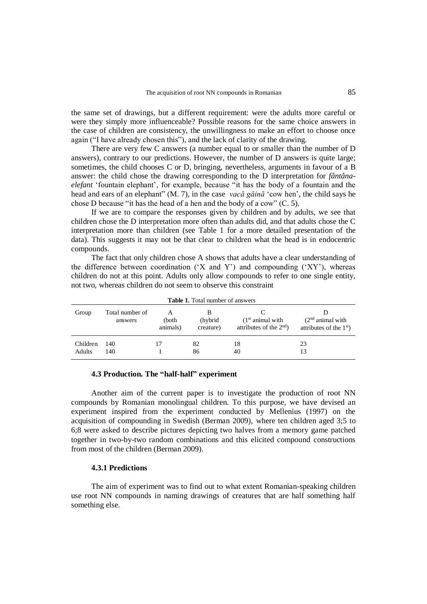the same set of drawings, but a different requirement: were the adults more careful or were they simply more influenceable? Possible reasons for the same choice answers in the case of children are consistency, the unwillingness to make an effort to choose once again ("I have already chosen this"), and the lack of clarity of the drawing.

There are very few C answers (a number equal to or smaller than the number of D answers), contrary to our predictions. However, the number of D answers is quite large; sometimes, the child chooses C or D, bringing, nevertheless, arguments in favour of a B answer: the child chose the drawing corresponding to the D interpretation for *fântânaelefant* 'fountain elephant', for example, because "it has the body of a fountain and the head and ears of an elephant" (M. 7), in the case *vacă găină* 'cow hen', the child says he chose D because "it has the head of a hen and the body of a cow" (C. 5).

If we are to compare the responses given by children and by adults, we see that children chose the D interpretation more often than adults did, and that adults chose the C interpretation more than children (see Table 1 for a more detailed presentation of the data). This suggests it may not be that clear to children what the head is in endocentric compounds.

The fact that only children chose A shows that adults have a clear understanding of the difference between coordination  $(X$  and  $Y)$  and compounding  $(XY')$ , whereas children do not at this point. Adults only allow compounds to refer to one single entity, not two, whereas children do not seem to observe this constraint

| <b>Table 1.</b> Total number of answers |                            |                   |                            |                                                            |                                                            |  |  |  |
|-----------------------------------------|----------------------------|-------------------|----------------------------|------------------------------------------------------------|------------------------------------------------------------|--|--|--|
| Group                                   | Total number of<br>answers | (both<br>animals) | В<br>(hybrid)<br>creature) | (1 <sup>st</sup> animal with)<br>attributes of the $2nd$ ) | (2 <sup>nd</sup> animal with)<br>attributes of the $1st$ ) |  |  |  |
| Children<br>Adults                      | 140<br>140                 |                   | 82<br>86                   | 18<br>40                                                   | 23<br>13                                                   |  |  |  |

# **4.3 Production. The "half-half" experiment**

Another aim of the current paper is to investigate the production of root NN compounds by Romanian monolingual children. To this purpose, we have devised an experiment inspired from the experiment conducted by Mellenius (1997) on the acquisition of compounding in Swedish (Berman 2009), where ten children aged 3;5 to 6;8 were asked to describe pictures depicting two halves from a memory game patched together in two-by-two random combinations and this elicited compound constructions from most of the children (Berman 2009).

# **4.3.1 Predictions**

The aim of experiment was to find out to what extent Romanian-speaking children use root NN compounds in naming drawings of creatures that are half something half something else.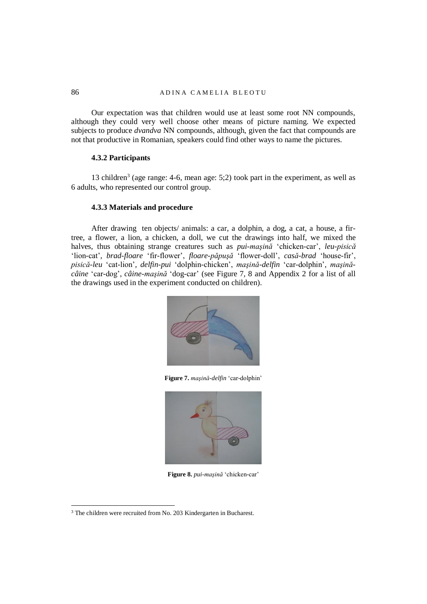## 86 A D IN A CAMELIA BLEOTU

Our expectation was that children would use at least some root NN compounds, although they could very well choose other means of picture naming. We expected subjects to produce *dvandva* NN compounds, although, given the fact that compounds are not that productive in Romanian, speakers could find other ways to name the pictures.

# **4.3.2 Participants**

13 children<sup>3</sup> (age range: 4-6, mean age: 5;2) took part in the experiment, as well as 6 adults, who represented our control group.

#### **4.3.3 Materials and procedure**

After drawing ten objects/ animals: a car, a dolphin, a dog, a cat, a house, a firtree, a flower, a lion, a chicken, a doll, we cut the drawings into half, we mixed the halves, thus obtaining strange creatures such as *pui-maşină* 'chicken-car', *leu-pisică* 'lion-cat'*, brad-floare* 'fir-flower', *floare-păpuşă* 'flower-doll', *casă-brad* 'house-fir', *pisică-leu* 'cat-lion'*, delfin-pui* 'dolphin-chicken', *maşină-delfin* 'car-dolphin', *maşinăcâine* 'car-dog', *câine-maşină* 'dog-car' (see Figure 7, 8 and Appendix 2 for a list of all the drawings used in the experiment conducted on children).



**Figure 7.** *maşină-delfin* 'car-dolphin'



**Figure 8.** *pui-maşină* 'chicken-car'

.

<sup>3</sup> The children were recruited from No. 203 Kindergarten in Bucharest.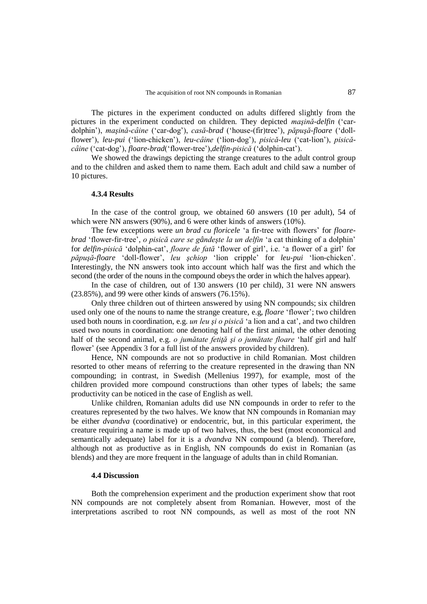The pictures in the experiment conducted on adults differed slightly from the pictures in the experiment conducted on children. They depicted *maşină-delfin* ('cardolphin'), *maşină-cȃine* ('car-dog'), *casă-brad* ('house-(fir)tree'), *păpuşă-floare* ('dollflower'), *leu-pui* ('lion-chicken'), *leu-câine* ('lion-dog'), *pisică-leu* ('cat-lion'), *pisicăcȃine* ('cat-dog'), *floare-brad*('flower-tree'),*delfin-pisică* ('dolphin-cat').

We showed the drawings depicting the strange creatures to the adult control group and to the children and asked them to name them. Each adult and child saw a number of 10 pictures.

## **4.3.4 Results**

In the case of the control group, we obtained 60 answers (10 per adult), 54 of which were NN answers (90%), and 6 were other kinds of answers (10%).

The few exceptions were *un brad cu floricele* 'a fir-tree with flowers' for *floarebrad* 'flower-fir-tree', *o pisică care se gândeşte la un delfin* 'a cat thinking of a dolphin' for *delfin-pisică* 'dolphin-cat', *floare de fată* 'flower of girl', i.e. 'a flower of a girl' for *păpuşă-floare* 'doll-flower', *leu şchiop* 'lion cripple' for *leu-pui* 'lion-chicken'. Interestingly, the NN answers took into account which half was the first and which the second (the order of the nouns in the compound obeys the order in which the halves appear).

In the case of children, out of 130 answers (10 per child), 31 were NN answers (23.85%), and 99 were other kinds of answers (76.15%).

Only three children out of thirteen answered by using NN compounds; six children used only one of the nouns to name the strange creature, e.g, *floare* 'flower'; two children used both nouns in coordination, e.g. *un leu şi o pisică* 'a lion and a cat', and two children used two nouns in coordination: one denoting half of the first animal, the other denoting half of the second animal, e.g. *o jumătate fetiţă şi o jumătate floare* 'half girl and half flower' (see Appendix 3 for a full list of the answers provided by children).

Hence, NN compounds are not so productive in child Romanian. Most children resorted to other means of referring to the creature represented in the drawing than NN compounding; in contrast, in Swedish (Mellenius 1997), for example, most of the children provided more compound constructions than other types of labels; the same productivity can be noticed in the case of English as well.

Unlike children, Romanian adults did use NN compounds in order to refer to the creatures represented by the two halves. We know that NN compounds in Romanian may be either *dvandva* (coordinative) or endocentric, but, in this particular experiment, the creature requiring a name is made up of two halves, thus, the best (most economical and semantically adequate) label for it is a *dvandva* NN compound (a blend). Therefore, although not as productive as in English, NN compounds do exist in Romanian (as blends) and they are more frequent in the language of adults than in child Romanian.

# **4.4 Discussion**

Both the comprehension experiment and the production experiment show that root NN compounds are not completely absent from Romanian. However, most of the interpretations ascribed to root NN compounds, as well as most of the root NN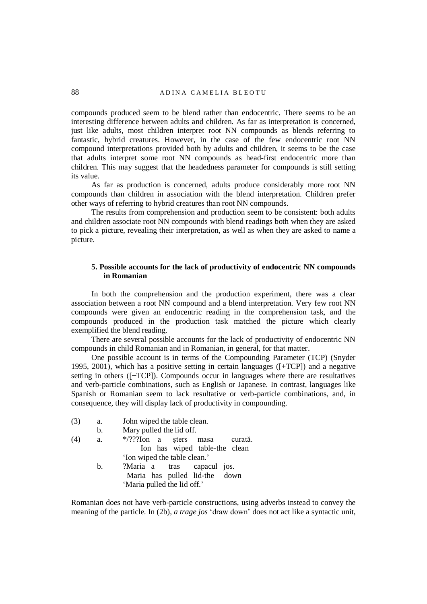compounds produced seem to be blend rather than endocentric. There seems to be an interesting difference between adults and children. As far as interpretation is concerned, just like adults, most children interpret root NN compounds as blends referring to fantastic, hybrid creatures. However, in the case of the few endocentric root NN compound interpretations provided both by adults and children, it seems to be the case that adults interpret some root NN compounds as head-first endocentric more than children. This may suggest that the headedness parameter for compounds is still setting its value.

As far as production is concerned, adults produce considerably more root NN compounds than children in association with the blend interpretation. Children prefer other ways of referring to hybrid creatures than root NN compounds.

The results from comprehension and production seem to be consistent: both adults and children associate root NN compounds with blend readings both when they are asked to pick a picture, revealing their interpretation, as well as when they are asked to name a picture.

# **5. Possible accounts for the lack of productivity of endocentric NN compounds in Romanian**

In both the comprehension and the production experiment, there was a clear association between a root NN compound and a blend interpretation. Very few root NN compounds were given an endocentric reading in the comprehension task, and the compounds produced in the production task matched the picture which clearly exemplified the blend reading.

There are several possible accounts for the lack of productivity of endocentric NN compounds in child Romanian and in Romanian, in general, for that matter.

One possible account is in terms of the Compounding Parameter (TCP) (Snyder 1995, 2001), which has a positive setting in certain languages ([+TCP]) and a negative setting in others ([−TCP]). Compounds occur in languages where there are resultatives and verb-particle combinations, such as English or Japanese. In contrast, languages like Spanish or Romanian seem to lack resultative or verb-particle combinations, and, in consequence, they will display lack of productivity in compounding.

(3) a. John wiped the table clean. b. Mary pulled the lid off.

| (4) | a. | */???Ion a sters masa curată. |  |
|-----|----|-------------------------------|--|
|     |    | Ion has wiped table-the clean |  |
|     |    | 'Ion wiped the table clean.'  |  |
|     | b. | ?Maria a tras capacul jos.    |  |
|     |    | Maria has pulled lid-the down |  |
|     |    | 'Maria pulled the lid off.'   |  |

Romanian does not have verb-particle constructions, using adverbs instead to convey the meaning of the particle. In (2b), *a trage jos* 'draw down' does not act like a syntactic unit,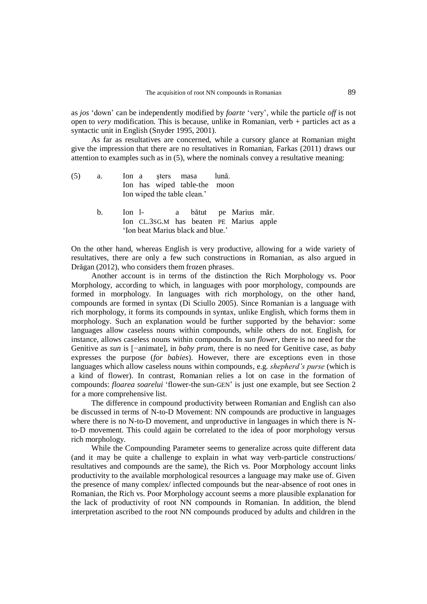as *jos* 'down' can be independently modified by *foarte* 'very', while the particle *off* is not open to *very* modification. This is because, unlike in Romanian, verb + particles act as a syntactic unit in English (Snyder 1995, 2001).

As far as resultatives are concerned, while a cursory glance at Romanian might give the impression that there are no resultatives in Romanian, Farkas (2011) draws our attention to examples such as in (5), where the nominals convey a resultative meaning:

- (5) a. Ion a şters masa lună. Ion has wiped table-the moon Ion wiped the table clean.'
	- b. Ion l- a bătut pe Marius măr. Ion CL.3SG.M has beaten PE Marius apple 'Ion beat Marius black and blue.'

On the other hand, whereas English is very productive, allowing for a wide variety of resultatives, there are only a few such constructions in Romanian, as also argued in Drăgan (2012), who considers them frozen phrases.

Another account is in terms of the distinction the Rich Morphology vs. Poor Morphology, according to which, in languages with poor morphology, compounds are formed in morphology. In languages with rich morphology, on the other hand, compounds are formed in syntax (Di Sciullo 2005). Since Romanian is a language with rich morphology, it forms its compounds in syntax, unlike English, which forms them in morphology. Such an explanation would be further supported by the behavior: some languages allow caseless nouns within compounds, while others do not. English, for instance, allows caseless nouns within compounds. In *sun flower*, there is no need for the Genitive as *sun* is [−animate], in *baby pram*, there is no need for Genitive case, as *baby* expresses the purpose (*for babies*). However, there are exceptions even in those languages which allow caseless nouns within compounds, e.g. *shepherd's purse* (which is a kind of flower). In contrast, Romanian relies a lot on case in the formation of compounds: *floarea soarelui* 'flower-the sun-GEN' is just one example, but see Section 2 for a more comprehensive list.

The difference in compound productivity between Romanian and English can also be discussed in terms of N-to-D Movement: NN compounds are productive in languages where there is no N-to-D movement, and unproductive in languages in which there is Nto-D movement. This could again be correlated to the idea of poor morphology versus rich morphology.

While the Compounding Parameter seems to generalize across quite different data (and it may be quite a challenge to explain in what way verb-particle constructions/ resultatives and compounds are the same), the Rich vs. Poor Morphology account links productivity to the available morphological resources a language may make use of. Given the presence of many complex/ inflected compounds but the near-absence of root ones in Romanian, the Rich vs. Poor Morphology account seems a more plausible explanation for the lack of productivity of root NN compounds in Romanian. In addition, the blend interpretation ascribed to the root NN compounds produced by adults and children in the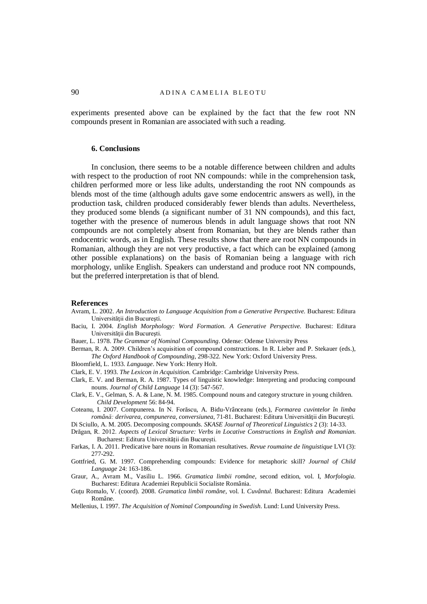experiments presented above can be explained by the fact that the few root NN compounds present in Romanian are associated with such a reading.

#### **6. Conclusions**

In conclusion, there seems to be a notable difference between children and adults with respect to the production of root NN compounds: while in the comprehension task, children performed more or less like adults, understanding the root NN compounds as blends most of the time (although adults gave some endocentric answers as well), in the production task, children produced considerably fewer blends than adults. Nevertheless, they produced some blends (a significant number of 31 NN compounds), and this fact, together with the presence of numerous blends in adult language shows that root NN compounds are not completely absent from Romanian, but they are blends rather than endocentric words, as in English. These results show that there are root NN compounds in Romanian, although they are not very productive, a fact which can be explained (among other possible explanations) on the basis of Romanian being a language with rich morphology, unlike English. Speakers can understand and produce root NN compounds, but the preferred interpretation is that of blend.

#### **References**

- Avram, L. 2002. *An Introduction to Language Acquisition from a Generative Perspective.* Bucharest: Editura Universităţii din Bucureşti.
- Baciu, I. 2004. *English Morphology: Word Formation. A Generative Perspective.* Bucharest: Editura Universităţii din Bucureşti.
- Bauer, L. 1978. *The Grammar of Nominal Compounding*. Odense: Odense University Press
- Berman, R. A. 2009. Children's acquisition of compound constructions. In R. Lieber and P. Stekauer (eds.), *The Oxford Handbook of Compounding*, 298-322*.* New York: Oxford University Press.
- Bloomfield, L. 1933. *Language*. New York: Henry Holt.
- Clark, E. V. 1993. *The Lexicon in Acquisition.* Cambridge: Cambridge University Press.
- Clark, E. V. and Berman, R. A. 1987. Types of linguistic knowledge: Interpreting and producing compound nouns. *Journal of Child Language* 14 (3): 547-567.
- Clark, E. V., Gelman, S. A. & Lane, N. M. 1985. Compound nouns and category structure in young children. *Child Development* 56: 84-94.
- Coteanu, I. 2007. Compunerea. In N. Forăscu, A. Bidu-Vrânceanu (eds.), *Formarea cuvintelor în limba română: derivarea, compunerea, conversiunea*, 71-81. Bucharest: Editura Universităţii din Bucureşti.
- Di Sciullo, A. M. 2005. Decomposing compounds. *SKASE Journal of Theoretical Linguistics* 2 (3): 14-33. Drăgan, R. 2012. *Aspects of Lexical Structure: Verbs in Locative Constructions in English and Romanian*.

Bucharest: Editura Universității din București.

- Farkas, I. A. 2011. Predicative bare nouns in Romanian resultatives. *Revue roumaine de linguistique* LVI (3): 277-292.
- Gottfried, G. M. 1997. Comprehending compounds: Evidence for metaphoric skill? *Journal of Child Language* 24: 163-186.
- Graur, A., Avram M., Vasiliu L. 1966. *Gramatica limbii române*, second edition, vol. I, *Morfologia*. Bucharest: Editura [Academiei Republicii Socialiste România.](https://www.anticariat.net/editura/Academiei+Republicii+Socialiste+Romania)
- Guţu Romalo, V. (coord). 2008. *Gramatica limbii române*, vol. I. *Cuvântul.* Bucharest: Editura Academiei Române.
- Mellenius, I. 1997. *The Acquisition of Nominal Compounding in Swedish*. Lund: Lund University Press.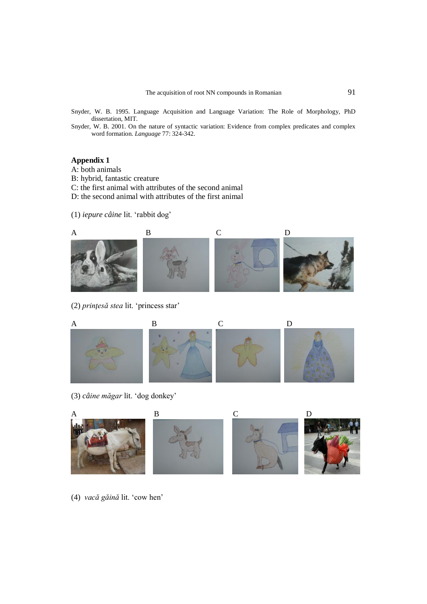- Snyder, W. B. 1995. Language Acquisition and Language Variation: The Role of Morphology, PhD dissertation, MIT.
- Snyder, W. B. 2001. On the nature of syntactic variation: Evidence from complex predicates and complex word formation. *Language* 77: 324-342.

# **Appendix 1**

- A: both animals
- B: hybrid, fantastic creature
- C: the first animal with attributes of the second animal
- D: the second animal with attributes of the first animal
- (1) *iepure câine* lit. 'rabbit dog'



(2) *prinţesă stea* lit. 'princess star'



(3) *câine măgar* lit. 'dog donkey'



(4) *vacă găină* lit. 'cow hen'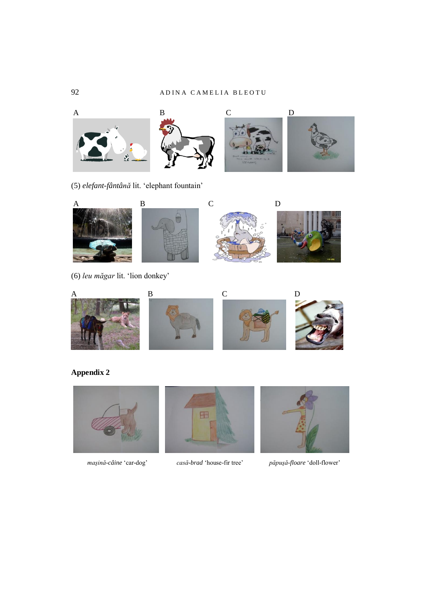

(5) *elefant-fântână* lit. 'elephant fountain'



(6) *leu măgar* lit. 'lion donkey'



# **Appendix 2**







 *maşină-câine* 'car-dog' *casă-brad* 'house-fir tree' *păpuşă-floare* 'doll-flower'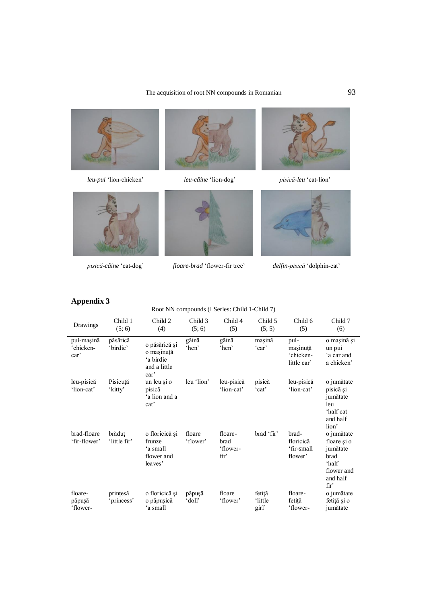# The acquisition of root NN compounds in Romanian 93



 *leu-pui* 'lion-chicken' *leu-câine* 'lion-dog' *pisică-leu* 'cat-lion'









 *pisică-câine* 'cat-dog' *floare-brad* 'flower-fir tree' *delfin-pisică* 'dolphin-cat'



# **Appendix 3**

|                                 | Root NN compounds (I Series: Child 1-Child 7) |                                                                  |                    |                                                 |                            |                                              |                                                                                                      |
|---------------------------------|-----------------------------------------------|------------------------------------------------------------------|--------------------|-------------------------------------------------|----------------------------|----------------------------------------------|------------------------------------------------------------------------------------------------------|
| Drawings                        | Child 1<br>(5; 6)                             | Child 2<br>(4)                                                   | Child 3<br>(5; 6)  | Child 4<br>(5)                                  | Child 5<br>(5; 5)          | Child 6<br>(5)                               | Child 7<br>(6)                                                                                       |
| pui-mașină<br>'chicken-<br>car' | păsărică<br>'birdie'                          | o păsărică și<br>o mașinuță<br>'a birdie<br>and a little<br>car' | găină<br>'hen'     | găină<br>'hen'                                  | mașină<br>'car'            | pui-<br>mașinuță<br>'chicken-<br>little car' | o mașină și<br>un pui<br>'a car and<br>a chicken'                                                    |
| leu-pisică<br>'lion-cat'        | Pisicută<br>'kitty'                           | un leu și o<br>pisică<br>'a lion and a<br>cat'                   | leu 'lion'         | leu-pisică<br>'lion-cat'                        | pisică<br>'cat'            | leu-pisică<br>'lion-cat'                     | o jumătate<br>pisică și<br>jumătate<br>leu<br>'half cat<br>and half<br>lion'                         |
| brad-floare<br>'fir-flower'     | brăduț<br>'little fir'                        | o floricică și<br>frunze<br>'a small<br>flower and<br>leaves'    | floare<br>'flower' | floare-<br>brad<br>'flower-<br>fir <sup>2</sup> | brad 'fir'                 | brad-<br>floricică<br>'fir-small<br>flower'  | o jumătate<br>floare și o<br>jumătate<br>brad<br>ʻhalf<br>flower and<br>and half<br>fir <sup>2</sup> |
| floare-<br>păpușă<br>'flower-   | prințesă<br>'princess'                        | o floricică și<br>o păpușică<br>'a small                         | păpușă<br>doll'    | floare<br>'flower'                              | fetiță<br>'little<br>girl' | floare-<br>fetită<br>'flower-                | o jumătate<br>fetiță și o<br>jumătate                                                                |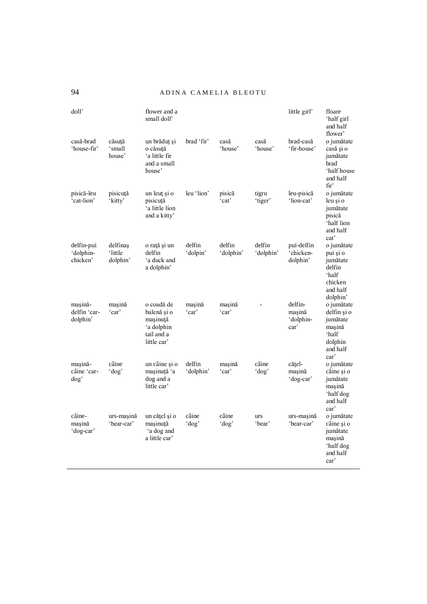94 A D IN A CAMELIA BLEOTU

| doll'                               |                                 | flower and a<br>small doll'                                                      |                     |                     |                      | little girl'                                       | floare<br>'half girl<br>and half<br>flower'                                              |
|-------------------------------------|---------------------------------|----------------------------------------------------------------------------------|---------------------|---------------------|----------------------|----------------------------------------------------|------------------------------------------------------------------------------------------|
| casă-brad<br>'house-fir'            | căsuță<br>'small<br>house'      | un brăduț și<br>o căsută<br>'a little fir<br>and a small<br>house'               | brad 'fir'          | casă<br>'house'     | casă<br>'house'      | brad-casă<br>'fir-house'                           | o jumătate<br>casă și o<br>jumătate<br>brad<br>'half house<br>and half<br>fir'           |
| pisică-leu<br>'cat-lion'            | pisicuță<br>'kitty'             | un leuț și o<br>pisicuță<br>'a little lion<br>and a kitty'                       | leu 'lion'          | pisică<br>'cat'     | tigru<br>'tiger'     | leu-pisică<br>'lion-cat'                           | o jumătate<br>leu și o<br>jumătate<br>pisică<br>'half lion<br>and half<br>cat'           |
| delfin-pui<br>'dolphin-<br>chicken' | delfinas<br>'little<br>dolphin' | o rață și un<br>delfin<br>'a duck and<br>a dolphin'                              | delfin<br>'dolpin'  | delfin<br>'dolphin' | delfin<br>'dolphin'  | pui-delfin<br>'chicken-<br>dolphin'                | o jumătate<br>pui și o<br>jumătate<br>delfin<br>'half<br>chicken<br>and half<br>dolphin' |
| mașină-<br>delfin 'car-<br>dolphin' | masină<br>'car'                 | o coadă de<br>balenă și o<br>masinuță<br>'a dolphin<br>tail and a<br>little car' | mașină<br>'car'     | masină<br>'car'     |                      | delfin-<br>mașină<br>'dolphin-<br>car <sup>2</sup> | o jumătate<br>delfin și o<br>jumătate<br>masină<br>'half<br>dolphin<br>and half<br>car'  |
| masină-<br>câine 'car-<br>dog'      | câine<br>' $\log$               | un câine și o<br>mașinuță 'a<br>dog and a<br>little car'                         | delfin<br>'dolphin' | masină<br>'car'     | câine<br>$'$ dog'    | cățel-<br>masină<br>'dog-car'                      | o jumătate<br>câine și o<br>jumătate<br>mașină<br>'half dog<br>and half<br>car'          |
| câine-<br>mașină<br>'dog-car'       | urs-mașină<br>'bear-car'        | un cățel și o<br>mașinuță<br>'a dog and<br>a little car'                         | câine<br>'dog'      | câine<br>'dog'      | <b>urs</b><br>'bear' | urs-masină<br>'bear-car'                           | o jumătate<br>câine și o<br>jumătate<br>mașină<br>'half dog<br>and half<br>car'          |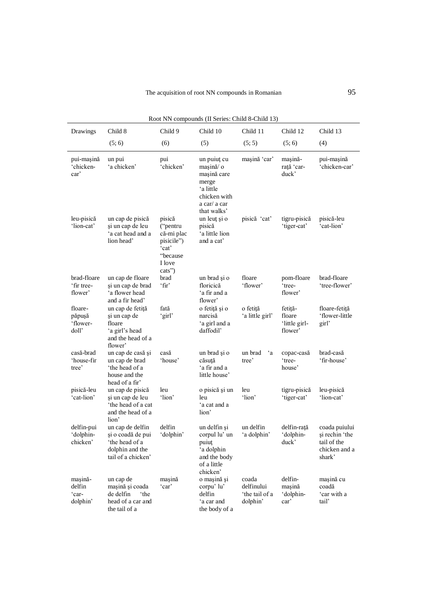| Drawings                               | Child 8                                                                                             | Child 9                                                                                 | Child 10                                                                                                    | Child 11                                          | Child 12                                      | Child 13                                                                  |
|----------------------------------------|-----------------------------------------------------------------------------------------------------|-----------------------------------------------------------------------------------------|-------------------------------------------------------------------------------------------------------------|---------------------------------------------------|-----------------------------------------------|---------------------------------------------------------------------------|
|                                        | (5; 6)                                                                                              | (6)                                                                                     | (5)                                                                                                         | (5; 5)                                            | (5; 6)                                        | (4)                                                                       |
| pui-mașină<br>'chicken-<br>car'        | un pui<br>'a chicken'                                                                               | pui<br>'chicken'                                                                        | un puiuț cu<br>masină/o<br>mașină care<br>merge<br>'a little<br>chicken with<br>a car/ a car<br>that walks' | mașină 'car'                                      | mașină-<br>rată 'car-<br>duck'                | pui-mașină<br>'chicken-car'                                               |
| leu-pisică<br>'lion-cat'               | un cap de pisică<br>și un cap de leu<br>'a cat head and a<br>lion head'                             | pisică<br>("pentru<br>că-mi plac<br>pisicile")<br>'cat'<br>"because<br>I love<br>cats") | un leuț și o<br>pisică<br>'a little lion<br>and a cat'                                                      | pisică 'cat'                                      | tigru-pisică<br>'tiger-cat'                   | pisică-leu<br>'cat-lion'                                                  |
| brad-floare<br>'fir tree-<br>flower'   | un cap de floare<br>și un cap de brad<br>'a flower head<br>and a fir head'                          | brad<br>'fir'                                                                           | un brad și o<br>floricică<br>'a fir and a<br>flower'                                                        | floare<br>'flower'                                | pom-floare<br>'tree-<br>flower'               | brad-floare<br>'tree-flower'                                              |
| floare-<br>păpușă<br>'flower-<br>doll' | un cap de fetiță<br>și un cap de<br>floare<br>'a girl's head<br>and the head of a<br>flower'        | fată<br>'girl'                                                                          | o fetiță și o<br>narcisă<br>'a girl and a<br>daffodil'                                                      | o fetiță<br>'a little girl'                       | fetiță-<br>floare<br>'little girl-<br>flower' | floare-fetită<br>'flower-little<br>girl'                                  |
| casă-brad<br>'house-fir<br>tree'       | un cap de casă și<br>un cap de brad<br>the head of a<br>house and the<br>head of a fir'             | casă<br>'house'                                                                         | un brad și o<br>căsută<br>'a fir and a<br>little house'                                                     | $\mathbf{a}$<br>un brad<br>tree'                  | copac-casă<br>'tree-<br>house'                | brad-casă<br>'fir-house'                                                  |
| pisică-leu<br>'cat-lion'               | un cap de pisică<br>și un cap de leu<br>'the head of a cat<br>and the head of a<br>lion'            | leu<br>'lion'                                                                           | o pisică și un<br>leu<br>'a cat and a<br>lion'                                                              | leu<br>'lion'                                     | tigru-pisică<br>'tiger-cat'                   | leu-pisică<br>'lion-cat'                                                  |
| delfin-pui<br>'dolphin-<br>chicken'    | un cap de delfin<br>și o coadă de pui<br>the head of a<br>dolphin and the<br>tail of a chicken'     | delfin<br>'dolphin'                                                                     | un delfin și<br>corpul lu' un<br>puiut<br>'a dolphin<br>and the body<br>of a little<br>chicken'             | un delfin<br>'a dolphin'                          | delfin-rață<br>'dolphin-<br>duck'             | coada puiului<br>și rechin 'the<br>tail of the<br>chicken and a<br>shark' |
| mașină-<br>delfin<br>'car-<br>dolphin' | un cap de<br>mașină și coada<br>de delfin<br>the <sup>*</sup><br>head of a car and<br>the tail of a | masină<br>'car'                                                                         | o mașină și<br>corpu'lu'<br>delfin<br>'a car and<br>the body of a                                           | coada<br>delfinului<br>'the tail of a<br>dolphin' | delfin-<br>mașină<br>'dolphin-<br>car'        | mașină cu<br>coadă<br>'car with a<br>tail'                                |

Root NN compounds (II Series: Child 8-Child 13)